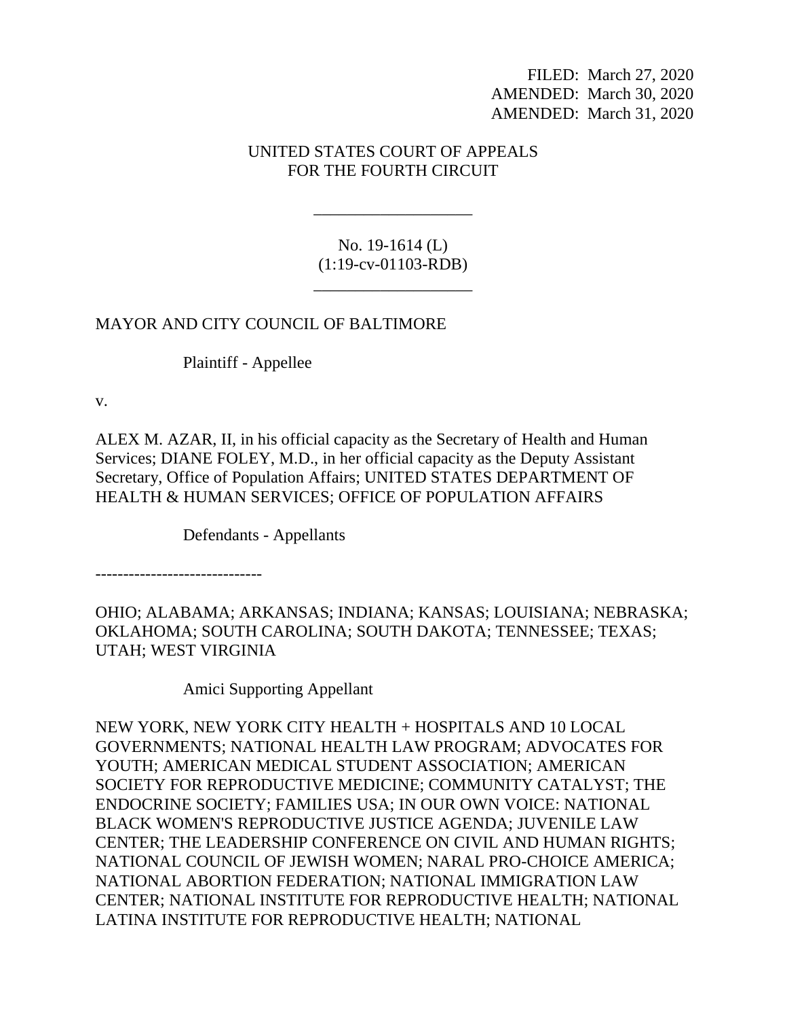FILED: March 27, 2020 AMENDED: March 30, 2020 AMENDED: March 31, 2020

## UNITED STATES COURT OF APPEALS FOR THE FOURTH CIRCUIT

No. 19-1614 (L) (1:19-cv-01103-RDB)

\_\_\_\_\_\_\_\_\_\_\_\_\_\_\_\_\_\_\_

\_\_\_\_\_\_\_\_\_\_\_\_\_\_\_\_\_\_\_

## MAYOR AND CITY COUNCIL OF BALTIMORE

Plaintiff - Appellee

v.

ALEX M. AZAR, II, in his official capacity as the Secretary of Health and Human Services; DIANE FOLEY, M.D., in her official capacity as the Deputy Assistant Secretary, Office of Population Affairs; UNITED STATES DEPARTMENT OF HEALTH & HUMAN SERVICES; OFFICE OF POPULATION AFFAIRS

Defendants - Appellants

------------------------------

OHIO; ALABAMA; ARKANSAS; INDIANA; KANSAS; LOUISIANA; NEBRASKA; OKLAHOMA; SOUTH CAROLINA; SOUTH DAKOTA; TENNESSEE; TEXAS; UTAH; WEST VIRGINIA

Amici Supporting Appellant

NEW YORK, NEW YORK CITY HEALTH + HOSPITALS AND 10 LOCAL GOVERNMENTS; NATIONAL HEALTH LAW PROGRAM; ADVOCATES FOR YOUTH; AMERICAN MEDICAL STUDENT ASSOCIATION; AMERICAN SOCIETY FOR REPRODUCTIVE MEDICINE; COMMUNITY CATALYST; THE ENDOCRINE SOCIETY; FAMILIES USA; IN OUR OWN VOICE: NATIONAL BLACK WOMEN'S REPRODUCTIVE JUSTICE AGENDA; JUVENILE LAW CENTER; THE LEADERSHIP CONFERENCE ON CIVIL AND HUMAN RIGHTS; NATIONAL COUNCIL OF JEWISH WOMEN; NARAL PRO-CHOICE AMERICA; NATIONAL ABORTION FEDERATION; NATIONAL IMMIGRATION LAW CENTER; NATIONAL INSTITUTE FOR REPRODUCTIVE HEALTH; NATIONAL LATINA INSTITUTE FOR REPRODUCTIVE HEALTH; NATIONAL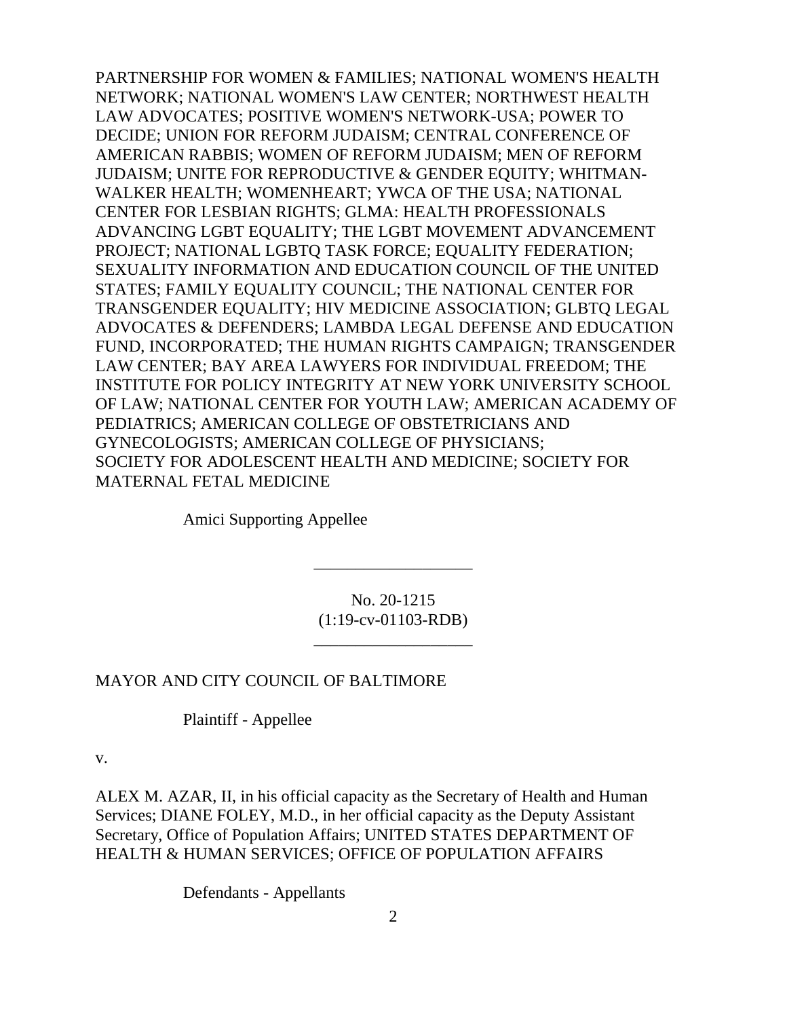PARTNERSHIP FOR WOMEN & FAMILIES; NATIONAL WOMEN'S HEALTH NETWORK; NATIONAL WOMEN'S LAW CENTER; NORTHWEST HEALTH LAW ADVOCATES; POSITIVE WOMEN'S NETWORK-USA; POWER TO DECIDE; UNION FOR REFORM JUDAISM; CENTRAL CONFERENCE OF AMERICAN RABBIS; WOMEN OF REFORM JUDAISM; MEN OF REFORM JUDAISM; UNITE FOR REPRODUCTIVE & GENDER EQUITY; WHITMAN-WALKER HEALTH; WOMENHEART; YWCA OF THE USA; NATIONAL CENTER FOR LESBIAN RIGHTS; GLMA: HEALTH PROFESSIONALS ADVANCING LGBT EQUALITY; THE LGBT MOVEMENT ADVANCEMENT PROJECT; NATIONAL LGBTQ TASK FORCE; EQUALITY FEDERATION; SEXUALITY INFORMATION AND EDUCATION COUNCIL OF THE UNITED STATES; FAMILY EQUALITY COUNCIL; THE NATIONAL CENTER FOR TRANSGENDER EQUALITY; HIV MEDICINE ASSOCIATION; GLBTQ LEGAL ADVOCATES & DEFENDERS; LAMBDA LEGAL DEFENSE AND EDUCATION FUND, INCORPORATED; THE HUMAN RIGHTS CAMPAIGN; TRANSGENDER LAW CENTER; BAY AREA LAWYERS FOR INDIVIDUAL FREEDOM; THE INSTITUTE FOR POLICY INTEGRITY AT NEW YORK UNIVERSITY SCHOOL OF LAW; NATIONAL CENTER FOR YOUTH LAW; AMERICAN ACADEMY OF PEDIATRICS; AMERICAN COLLEGE OF OBSTETRICIANS AND GYNECOLOGISTS; AMERICAN COLLEGE OF PHYSICIANS; SOCIETY FOR ADOLESCENT HEALTH AND MEDICINE; SOCIETY FOR MATERNAL FETAL MEDICINE

Amici Supporting Appellee

No. 20-1215 (1:19-cv-01103-RDB)

\_\_\_\_\_\_\_\_\_\_\_\_\_\_\_\_\_\_\_

\_\_\_\_\_\_\_\_\_\_\_\_\_\_\_\_\_\_\_

## MAYOR AND CITY COUNCIL OF BALTIMORE

Plaintiff - Appellee

v.

ALEX M. AZAR, II, in his official capacity as the Secretary of Health and Human Services; DIANE FOLEY, M.D., in her official capacity as the Deputy Assistant Secretary, Office of Population Affairs; UNITED STATES DEPARTMENT OF HEALTH & HUMAN SERVICES; OFFICE OF POPULATION AFFAIRS

Defendants - Appellants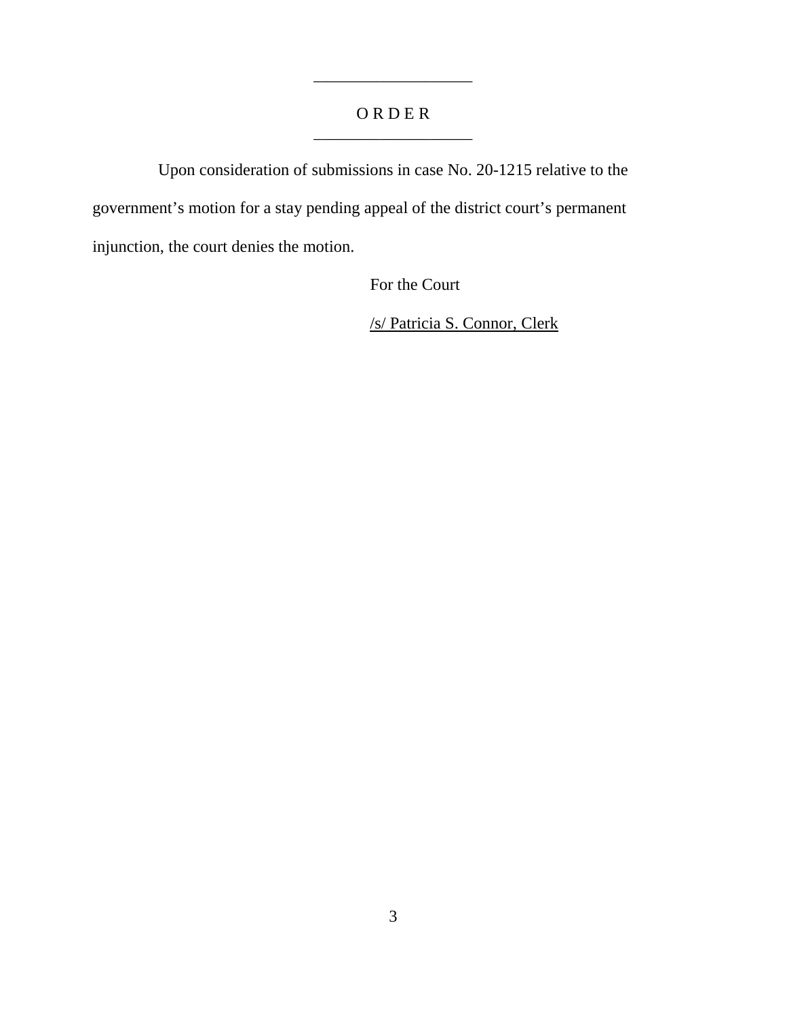## O R D E R \_\_\_\_\_\_\_\_\_\_\_\_\_\_\_\_\_\_\_

\_\_\_\_\_\_\_\_\_\_\_\_\_\_\_\_\_\_\_

Upon consideration of submissions in case No. 20-1215 relative to the government's motion for a stay pending appeal of the district court's permanent injunction, the court denies the motion.

For the Court

/s/ Patricia S. Connor, Clerk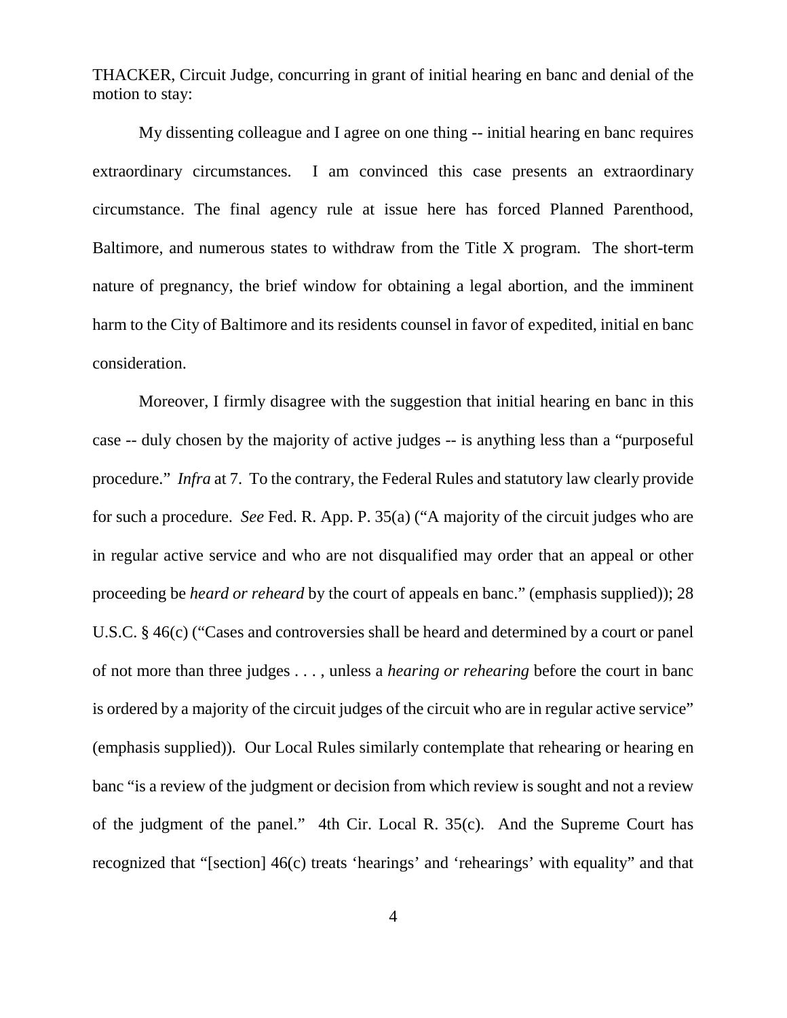THACKER, Circuit Judge, concurring in grant of initial hearing en banc and denial of the motion to stay:

My dissenting colleague and I agree on one thing -- initial hearing en banc requires extraordinary circumstances. I am convinced this case presents an extraordinary circumstance. The final agency rule at issue here has forced Planned Parenthood, Baltimore, and numerous states to withdraw from the Title X program. The short-term nature of pregnancy, the brief window for obtaining a legal abortion, and the imminent harm to the City of Baltimore and its residents counsel in favor of expedited, initial en banc consideration.

Moreover, I firmly disagree with the suggestion that initial hearing en banc in this case -- duly chosen by the majority of active judges -- is anything less than a "purposeful procedure." *Infra* at 7. To the contrary, the Federal Rules and statutory law clearly provide for such a procedure. *See* Fed. R. App. P. 35(a) ("A majority of the circuit judges who are in regular active service and who are not disqualified may order that an appeal or other proceeding be *heard or reheard* by the court of appeals en banc." (emphasis supplied)); 28 U.S.C. § 46(c) ("Cases and controversies shall be heard and determined by a court or panel of not more than three judges . . . , unless a *hearing or rehearing* before the court in banc is ordered by a majority of the circuit judges of the circuit who are in regular active service" (emphasis supplied)). Our Local Rules similarly contemplate that rehearing or hearing en banc "is a review of the judgment or decision from which review is sought and not a review of the judgment of the panel." 4th Cir. Local R. 35(c). And the Supreme Court has recognized that "[section] 46(c) treats 'hearings' and 'rehearings' with equality" and that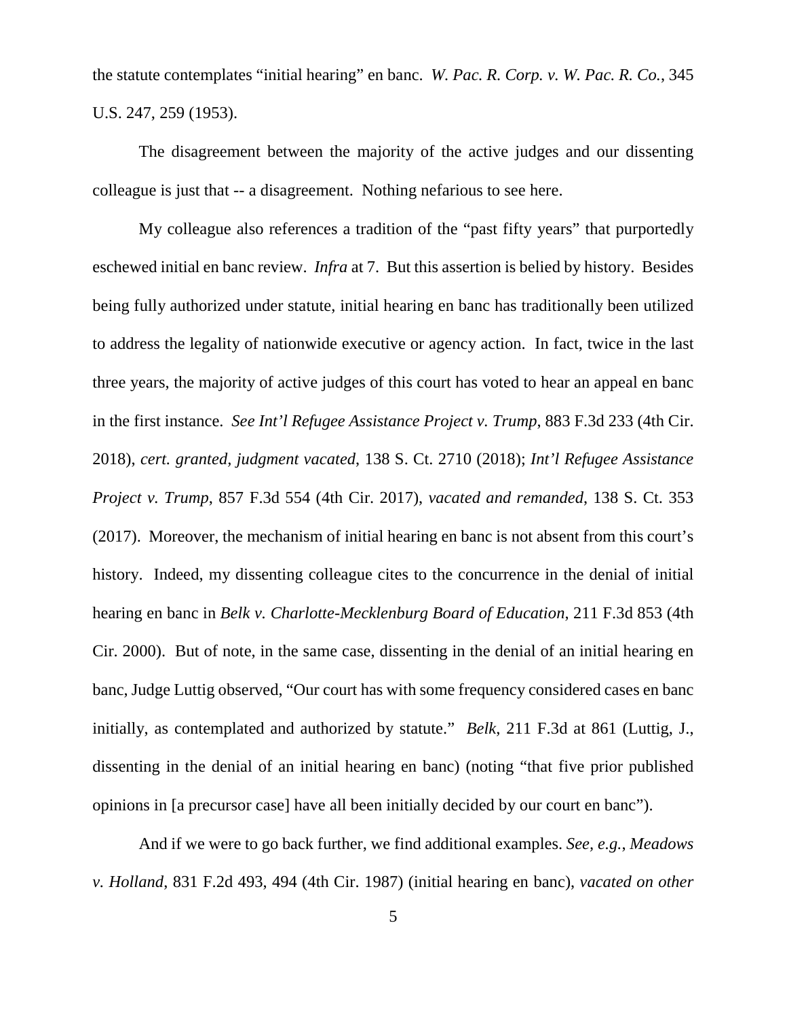the statute contemplates "initial hearing" en banc. *W. Pac. R. Corp. v. W. Pac. R. Co.*, 345 U.S. 247, 259 (1953).

The disagreement between the majority of the active judges and our dissenting colleague is just that -- a disagreement. Nothing nefarious to see here.

My colleague also references a tradition of the "past fifty years" that purportedly eschewed initial en banc review. *Infra* at 7. But this assertion is belied by history. Besides being fully authorized under statute, initial hearing en banc has traditionally been utilized to address the legality of nationwide executive or agency action. In fact, twice in the last three years, the majority of active judges of this court has voted to hear an appeal en banc in the first instance. *See Int'l Refugee Assistance Project v. Trump*, 883 F.3d 233 (4th Cir. 2018), *cert. granted, judgment vacated*, 138 S. Ct. 2710 (2018); *Int'l Refugee Assistance Project v. Trump*, 857 F.3d 554 (4th Cir. 2017), *vacated and remanded*, 138 S. Ct. 353 (2017). Moreover, the mechanism of initial hearing en banc is not absent from this court's history. Indeed, my dissenting colleague cites to the concurrence in the denial of initial hearing en banc in *Belk v. Charlotte-Mecklenburg Board of Education*, 211 F.3d 853 (4th Cir. 2000). But of note, in the same case, dissenting in the denial of an initial hearing en banc, Judge Luttig observed, "Our court has with some frequency considered cases en banc initially, as contemplated and authorized by statute." *Belk*, 211 F.3d at 861 (Luttig, J., dissenting in the denial of an initial hearing en banc) (noting "that five prior published opinions in [a precursor case] have all been initially decided by our court en banc").

And if we were to go back further, we find additional examples. *See, e.g.*, *Meadows v. Holland*, 831 F.2d 493, 494 (4th Cir. 1987) (initial hearing en banc), *vacated on other*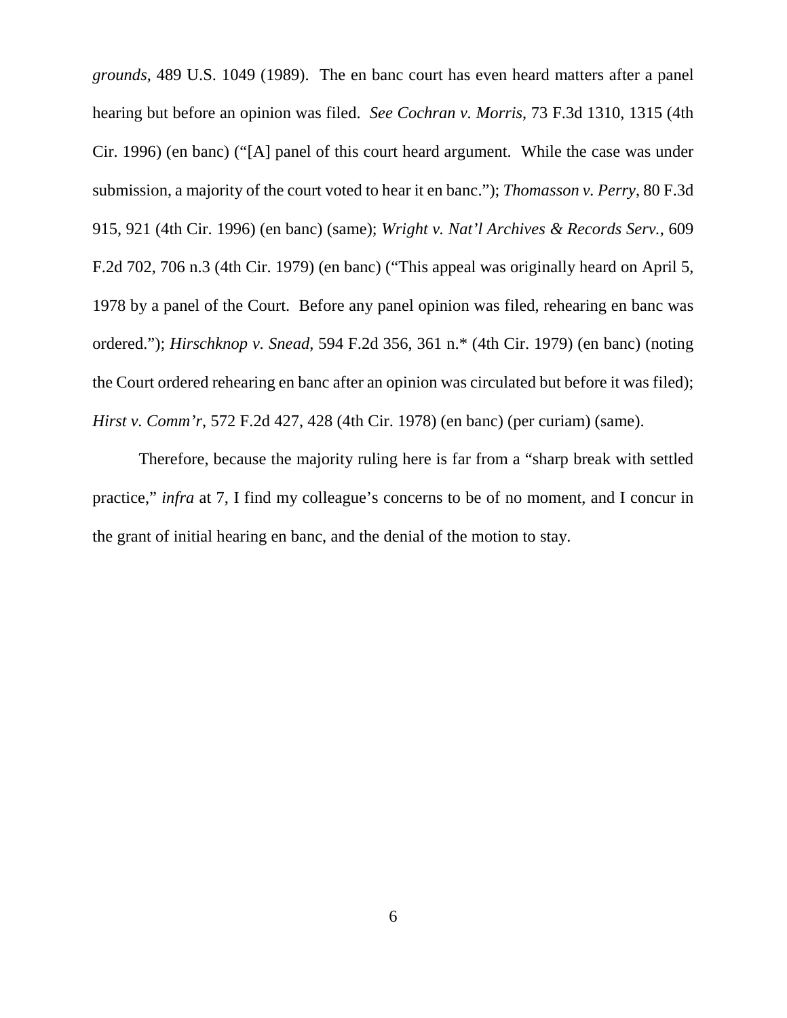*grounds*, 489 U.S. 1049 (1989). The en banc court has even heard matters after a panel hearing but before an opinion was filed. *See Cochran v. Morris*, 73 F.3d 1310, 1315 (4th Cir. 1996) (en banc) ("[A] panel of this court heard argument. While the case was under submission, a majority of the court voted to hear it en banc."); *Thomasson v. Perry*, 80 F.3d 915, 921 (4th Cir. 1996) (en banc) (same); *Wright v. Nat'l Archives & Records Serv.*, 609 F.2d 702, 706 n.3 (4th Cir. 1979) (en banc) ("This appeal was originally heard on April 5, 1978 by a panel of the Court. Before any panel opinion was filed, rehearing en banc was ordered."); *Hirschknop v. Snead*, 594 F.2d 356, 361 n.\* (4th Cir. 1979) (en banc) (noting the Court ordered rehearing en banc after an opinion was circulated but before it was filed); *Hirst v. Comm'r*, 572 F.2d 427, 428 (4th Cir. 1978) (en banc) (per curiam) (same).

Therefore, because the majority ruling here is far from a "sharp break with settled practice," *infra* at 7, I find my colleague's concerns to be of no moment, and I concur in the grant of initial hearing en banc, and the denial of the motion to stay.